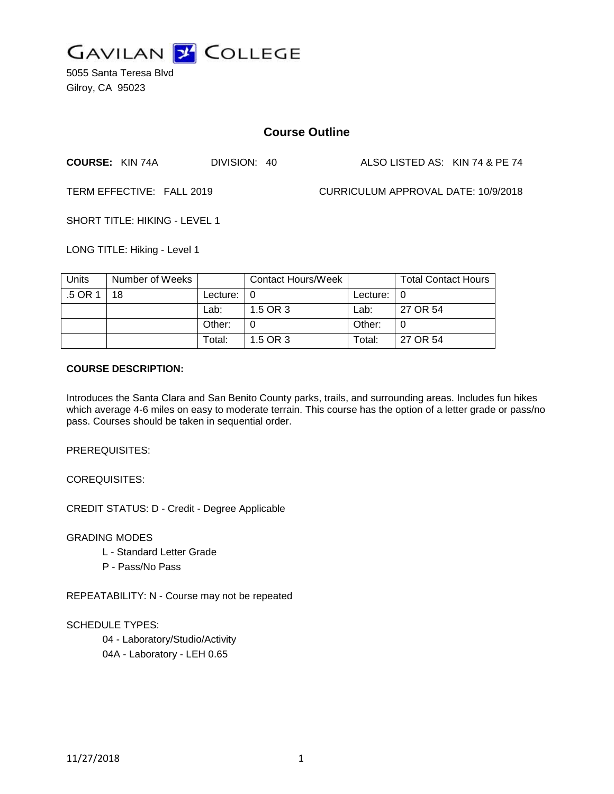

5055 Santa Teresa Blvd Gilroy, CA 95023

# **Course Outline**

**COURSE:** KIN 74A DIVISION: 40 ALSO LISTED AS: KIN 74 & PE 74

TERM EFFECTIVE: FALL 2019 CURRICULUM APPROVAL DATE: 10/9/2018

SHORT TITLE: HIKING - LEVEL 1

LONG TITLE: Hiking - Level 1

| Units   | Number of Weeks |                            | Contact Hours/Week |               | <b>Total Contact Hours</b> |
|---------|-----------------|----------------------------|--------------------|---------------|----------------------------|
| .5 OR 1 | 18              | Lecture: $\vert 0 \rangle$ |                    | Lecture: $ 0$ |                            |
|         |                 | Lab:                       | 1.5 OR 3           | Lab:          | 27 OR 54                   |
|         |                 | Other:                     |                    | Other:        |                            |
|         |                 | Total:                     | 1.5 OR 3           | Total:        | 27 OR 54                   |

#### **COURSE DESCRIPTION:**

Introduces the Santa Clara and San Benito County parks, trails, and surrounding areas. Includes fun hikes which average 4-6 miles on easy to moderate terrain. This course has the option of a letter grade or pass/no pass. Courses should be taken in sequential order.

PREREQUISITES:

COREQUISITES:

CREDIT STATUS: D - Credit - Degree Applicable

GRADING MODES

- L Standard Letter Grade
- P Pass/No Pass

REPEATABILITY: N - Course may not be repeated

SCHEDULE TYPES:

04 - Laboratory/Studio/Activity 04A - Laboratory - LEH 0.65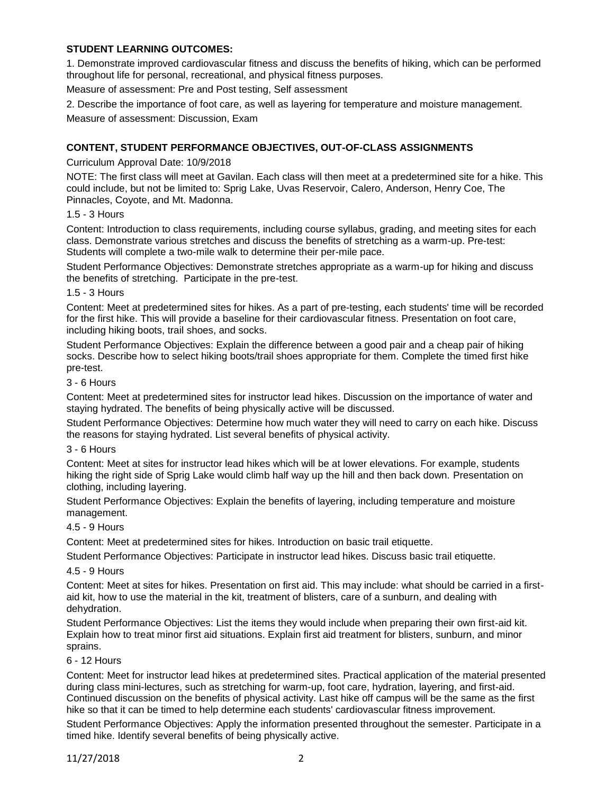### **STUDENT LEARNING OUTCOMES:**

1. Demonstrate improved cardiovascular fitness and discuss the benefits of hiking, which can be performed throughout life for personal, recreational, and physical fitness purposes.

Measure of assessment: Pre and Post testing, Self assessment

2. Describe the importance of foot care, as well as layering for temperature and moisture management.

Measure of assessment: Discussion, Exam

### **CONTENT, STUDENT PERFORMANCE OBJECTIVES, OUT-OF-CLASS ASSIGNMENTS**

#### Curriculum Approval Date: 10/9/2018

NOTE: The first class will meet at Gavilan. Each class will then meet at a predetermined site for a hike. This could include, but not be limited to: Sprig Lake, Uvas Reservoir, Calero, Anderson, Henry Coe, The Pinnacles, Coyote, and Mt. Madonna.

#### 1.5 - 3 Hours

Content: Introduction to class requirements, including course syllabus, grading, and meeting sites for each class. Demonstrate various stretches and discuss the benefits of stretching as a warm-up. Pre-test: Students will complete a two-mile walk to determine their per-mile pace.

Student Performance Objectives: Demonstrate stretches appropriate as a warm-up for hiking and discuss the benefits of stretching. Participate in the pre-test.

#### 1.5 - 3 Hours

Content: Meet at predetermined sites for hikes. As a part of pre-testing, each students' time will be recorded for the first hike. This will provide a baseline for their cardiovascular fitness. Presentation on foot care, including hiking boots, trail shoes, and socks.

Student Performance Objectives: Explain the difference between a good pair and a cheap pair of hiking socks. Describe how to select hiking boots/trail shoes appropriate for them. Complete the timed first hike pre-test.

#### 3 - 6 Hours

Content: Meet at predetermined sites for instructor lead hikes. Discussion on the importance of water and staying hydrated. The benefits of being physically active will be discussed.

Student Performance Objectives: Determine how much water they will need to carry on each hike. Discuss the reasons for staying hydrated. List several benefits of physical activity.

### 3 - 6 Hours

Content: Meet at sites for instructor lead hikes which will be at lower elevations. For example, students hiking the right side of Sprig Lake would climb half way up the hill and then back down. Presentation on clothing, including layering.

Student Performance Objectives: Explain the benefits of layering, including temperature and moisture management.

### 4.5 - 9 Hours

Content: Meet at predetermined sites for hikes. Introduction on basic trail etiquette.

Student Performance Objectives: Participate in instructor lead hikes. Discuss basic trail etiquette.

#### 4.5 - 9 Hours

Content: Meet at sites for hikes. Presentation on first aid. This may include: what should be carried in a firstaid kit, how to use the material in the kit, treatment of blisters, care of a sunburn, and dealing with dehydration.

Student Performance Objectives: List the items they would include when preparing their own first-aid kit. Explain how to treat minor first aid situations. Explain first aid treatment for blisters, sunburn, and minor sprains.

#### 6 - 12 Hours

Content: Meet for instructor lead hikes at predetermined sites. Practical application of the material presented during class mini-lectures, such as stretching for warm-up, foot care, hydration, layering, and first-aid. Continued discussion on the benefits of physical activity. Last hike off campus will be the same as the first hike so that it can be timed to help determine each students' cardiovascular fitness improvement.

Student Performance Objectives: Apply the information presented throughout the semester. Participate in a timed hike. Identify several benefits of being physically active.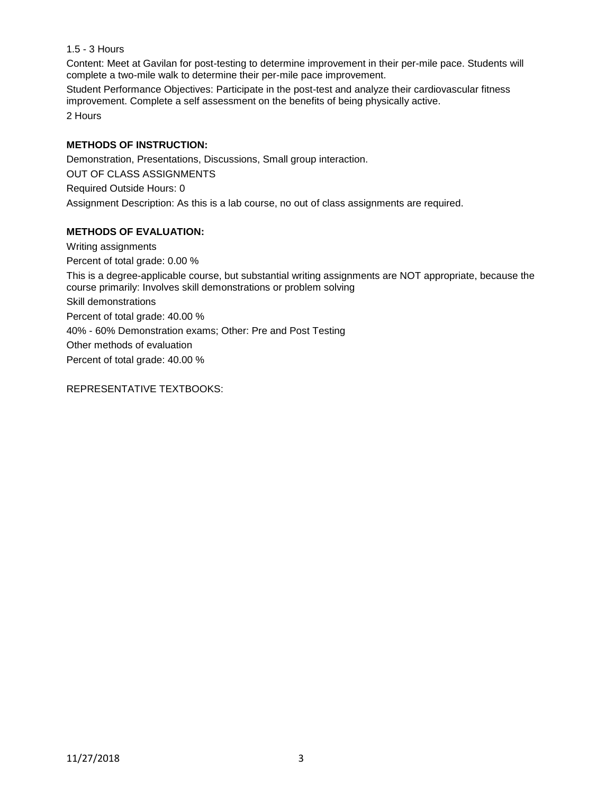# 1.5 - 3 Hours

Content: Meet at Gavilan for post-testing to determine improvement in their per-mile pace. Students will complete a two-mile walk to determine their per-mile pace improvement.

Student Performance Objectives: Participate in the post-test and analyze their cardiovascular fitness improvement. Complete a self assessment on the benefits of being physically active. 2 Hours

### **METHODS OF INSTRUCTION:**

Demonstration, Presentations, Discussions, Small group interaction. OUT OF CLASS ASSIGNMENTS Required Outside Hours: 0 Assignment Description: As this is a lab course, no out of class assignments are required.

## **METHODS OF EVALUATION:**

Writing assignments Percent of total grade: 0.00 % This is a degree-applicable course, but substantial writing assignments are NOT appropriate, because the course primarily: Involves skill demonstrations or problem solving Skill demonstrations Percent of total grade: 40.00 % 40% - 60% Demonstration exams; Other: Pre and Post Testing Other methods of evaluation Percent of total grade: 40.00 %

REPRESENTATIVE TEXTBOOKS: